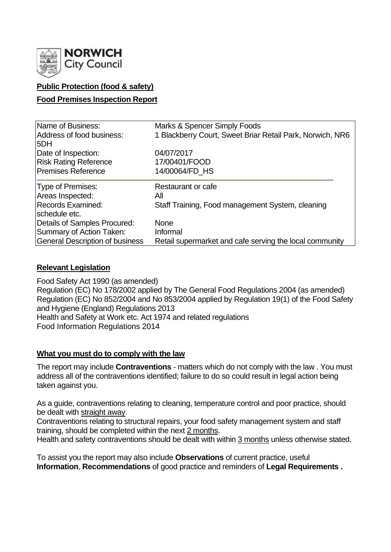

## **Public Protection (food & safety)**

### **Food Premises Inspection Report**

| Name of Business:                      | Marks & Spencer Simply Foods                              |  |  |  |  |  |
|----------------------------------------|-----------------------------------------------------------|--|--|--|--|--|
| Address of food business:              | 1 Blackberry Court, Sweet Briar Retail Park, Norwich, NR6 |  |  |  |  |  |
| 5DH                                    |                                                           |  |  |  |  |  |
| Date of Inspection:                    | 04/07/2017                                                |  |  |  |  |  |
| <b>Risk Rating Reference</b>           | 17/00401/FOOD                                             |  |  |  |  |  |
| <b>Premises Reference</b>              | 14/00064/FD HS                                            |  |  |  |  |  |
| Type of Premises:                      | Restaurant or cafe                                        |  |  |  |  |  |
| Areas Inspected:                       | All                                                       |  |  |  |  |  |
| <b>Records Examined:</b>               | Staff Training, Food management System, cleaning          |  |  |  |  |  |
| schedule etc.                          |                                                           |  |  |  |  |  |
| Details of Samples Procured:           | <b>None</b>                                               |  |  |  |  |  |
| Summary of Action Taken:               | Informal                                                  |  |  |  |  |  |
| <b>General Description of business</b> | Retail supermarket and cafe serving the local community   |  |  |  |  |  |

### **Relevant Legislation**

Food Safety Act 1990 (as amended) Regulation (EC) No 178/2002 applied by The General Food Regulations 2004 (as amended) Regulation (EC) No 852/2004 and No 853/2004 applied by Regulation 19(1) of the Food Safety and Hygiene (England) Regulations 2013 Health and Safety at Work etc. Act 1974 and related regulations Food Information Regulations 2014

### **What you must do to comply with the law**

The report may include **Contraventions** - matters which do not comply with the law . You must address all of the contraventions identified; failure to do so could result in legal action being taken against you.

As a guide, contraventions relating to cleaning, temperature control and poor practice, should be dealt with straight away.

Contraventions relating to structural repairs, your food safety management system and staff training, should be completed within the next 2 months.

Health and safety contraventions should be dealt with within 3 months unless otherwise stated.

To assist you the report may also include **Observations** of current practice, useful **Information**, **Recommendations** of good practice and reminders of **Legal Requirements .**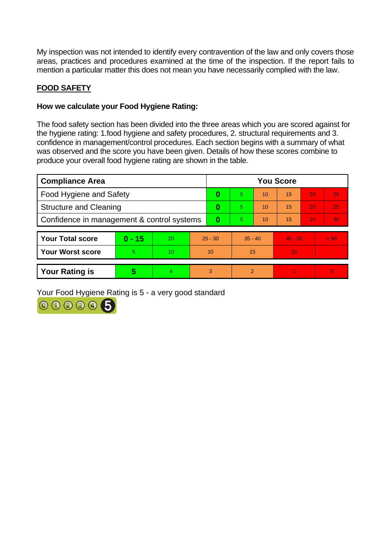My inspection was not intended to identify every contravention of the law and only covers those areas, practices and procedures examined at the time of the inspection. If the report fails to mention a particular matter this does not mean you have necessarily complied with the law.

# **FOOD SAFETY**

## **How we calculate your Food Hygiene Rating:**

The food safety section has been divided into the three areas which you are scored against for the hygiene rating: 1.food hygiene and safety procedures, 2. structural requirements and 3. confidence in management/control procedures. Each section begins with a summary of what was observed and the score you have been given. Details of how these scores combine to produce your overall food hygiene rating are shown in the table.

| <b>Compliance Area</b>                     |          |           |           | <b>You Score</b> |           |    |           |    |                 |  |  |
|--------------------------------------------|----------|-----------|-----------|------------------|-----------|----|-----------|----|-----------------|--|--|
| <b>Food Hygiene and Safety</b>             |          |           |           | 0                | 5         | 10 | 15        | 20 | 25              |  |  |
| <b>Structure and Cleaning</b>              |          |           |           | 0                | 57        | 10 | 15        | 20 | 25              |  |  |
| Confidence in management & control systems |          |           |           | $\bf{0}$         | 5         | 10 | 15        | 20 | 30 <sub>1</sub> |  |  |
| <b>Your Total score</b>                    |          | <b>20</b> |           |                  | $35 - 40$ |    | $45 - 50$ |    | > 50            |  |  |
|                                            | $0 - 15$ |           | $25 - 30$ |                  |           |    |           |    |                 |  |  |
| <b>Your Worst score</b>                    | 5        | 10        | 10        |                  | 15        |    | 20        |    |                 |  |  |
|                                            |          |           |           |                  |           |    |           |    |                 |  |  |
| <b>Your Rating is</b>                      | 5        | 4         | 3         |                  | 2         |    |           |    | $\Omega$        |  |  |

Your Food Hygiene Rating is 5 - a very good standard

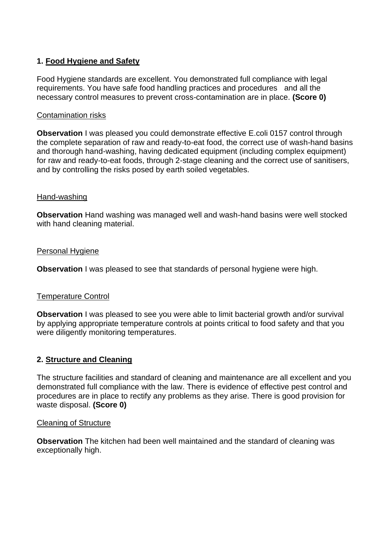## **1. Food Hygiene and Safety**

Food Hygiene standards are excellent. You demonstrated full compliance with legal requirements. You have safe food handling practices and procedures and all the necessary control measures to prevent cross-contamination are in place. **(Score 0)**

#### Contamination risks

**Observation** I was pleased you could demonstrate effective E.coli 0157 control through the complete separation of raw and ready-to-eat food, the correct use of wash-hand basins and thorough hand-washing, having dedicated equipment (including complex equipment) for raw and ready-to-eat foods, through 2-stage cleaning and the correct use of sanitisers, and by controlling the risks posed by earth soiled vegetables.

#### Hand-washing

**Observation** Hand washing was managed well and wash-hand basins were well stocked with hand cleaning material.

#### Personal Hygiene

**Observation** I was pleased to see that standards of personal hygiene were high.

### Temperature Control

**Observation** I was pleased to see you were able to limit bacterial growth and/or survival by applying appropriate temperature controls at points critical to food safety and that you were diligently monitoring temperatures.

### **2. Structure and Cleaning**

The structure facilities and standard of cleaning and maintenance are all excellent and you demonstrated full compliance with the law. There is evidence of effective pest control and procedures are in place to rectify any problems as they arise. There is good provision for waste disposal. **(Score 0)**

#### Cleaning of Structure

**Observation** The kitchen had been well maintained and the standard of cleaning was exceptionally high.